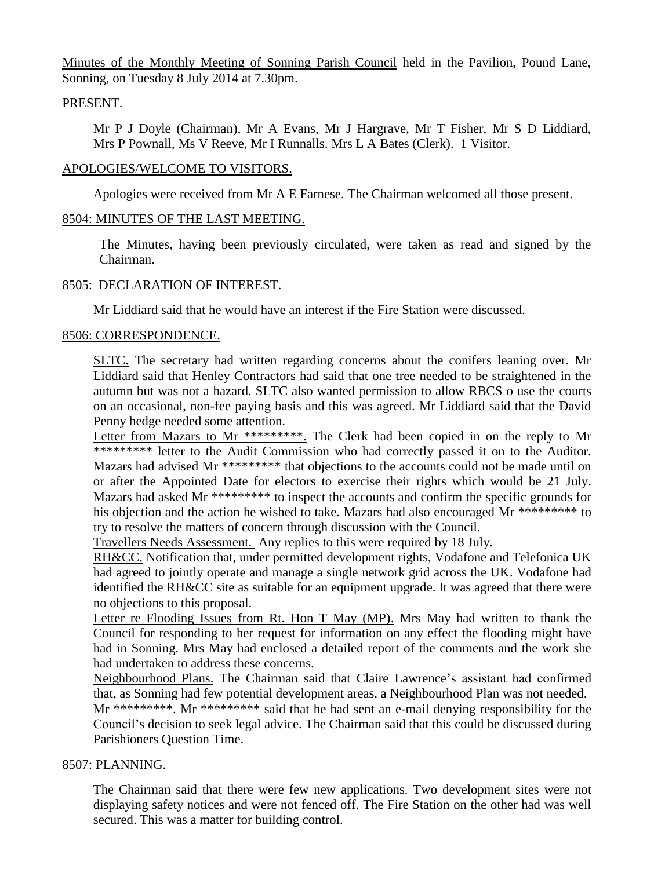Minutes of the Monthly Meeting of Sonning Parish Council held in the Pavilion, Pound Lane, Sonning, on Tuesday 8 July 2014 at 7.30pm.

## PRESENT.

Mr P J Doyle (Chairman), Mr A Evans, Mr J Hargrave, Mr T Fisher, Mr S D Liddiard, Mrs P Pownall, Ms V Reeve, Mr I Runnalls. Mrs L A Bates (Clerk). 1 Visitor.

### APOLOGIES/WELCOME TO VISITORS.

Apologies were received from Mr A E Farnese. The Chairman welcomed all those present.

## 8504: MINUTES OF THE LAST MEETING.

The Minutes, having been previously circulated, were taken as read and signed by the Chairman.

# 8505: DECLARATION OF INTEREST.

Mr Liddiard said that he would have an interest if the Fire Station were discussed.

### 8506: CORRESPONDENCE.

SLTC. The secretary had written regarding concerns about the conifers leaning over. Mr Liddiard said that Henley Contractors had said that one tree needed to be straightened in the autumn but was not a hazard. SLTC also wanted permission to allow RBCS o use the courts on an occasional, non-fee paying basis and this was agreed. Mr Liddiard said that the David Penny hedge needed some attention.

Letter from Mazars to Mr \*\*\*\*\*\*\*\*\*. The Clerk had been copied in on the reply to Mr \*\*\*\*\*\*\*\*\* letter to the Audit Commission who had correctly passed it on to the Auditor. Mazars had advised Mr \*\*\*\*\*\*\*\*\* that objections to the accounts could not be made until on or after the Appointed Date for electors to exercise their rights which would be 21 July. Mazars had asked Mr \*\*\*\*\*\*\*\*\* to inspect the accounts and confirm the specific grounds for his objection and the action he wished to take. Mazars had also encouraged Mr \*\*\*\*\*\*\*\*\* to try to resolve the matters of concern through discussion with the Council.

Travellers Needs Assessment. Any replies to this were required by 18 July.

RH&CC. Notification that, under permitted development rights, Vodafone and Telefonica UK had agreed to jointly operate and manage a single network grid across the UK. Vodafone had identified the RH&CC site as suitable for an equipment upgrade. It was agreed that there were no objections to this proposal.

Letter re Flooding Issues from Rt. Hon T May (MP). Mrs May had written to thank the Council for responding to her request for information on any effect the flooding might have had in Sonning. Mrs May had enclosed a detailed report of the comments and the work she had undertaken to address these concerns.

Neighbourhood Plans. The Chairman said that Claire Lawrence's assistant had confirmed that, as Sonning had few potential development areas, a Neighbourhood Plan was not needed.

Mr \*\*\*\*\*\*\*\*\*. Mr \*\*\*\*\*\*\*\*\*\* said that he had sent an e-mail denying responsibility for the Council's decision to seek legal advice. The Chairman said that this could be discussed during Parishioners Question Time.

# 8507: PLANNING.

The Chairman said that there were few new applications. Two development sites were not displaying safety notices and were not fenced off. The Fire Station on the other had was well secured. This was a matter for building control.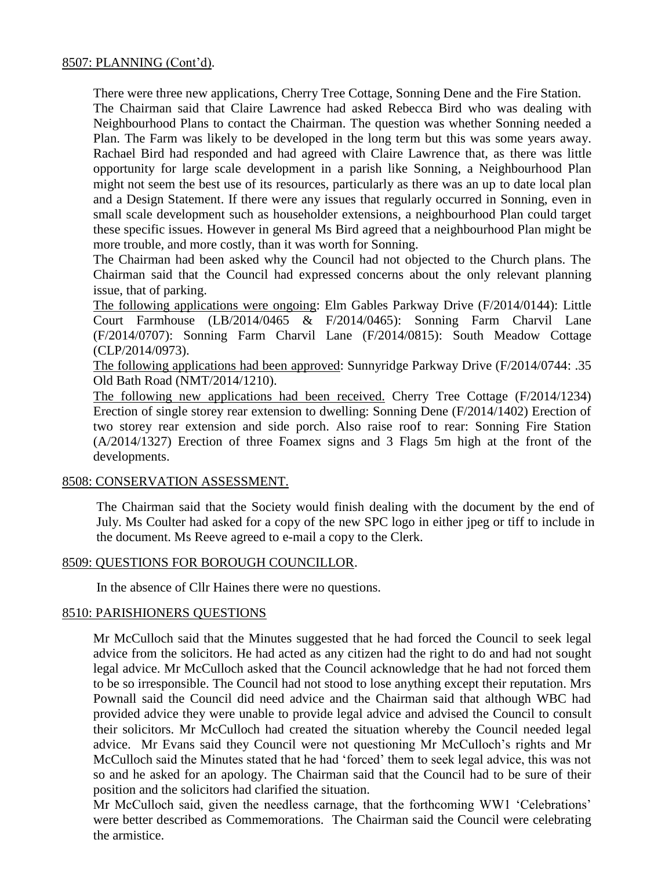There were three new applications, Cherry Tree Cottage, Sonning Dene and the Fire Station. The Chairman said that Claire Lawrence had asked Rebecca Bird who was dealing with Neighbourhood Plans to contact the Chairman. The question was whether Sonning needed a Plan. The Farm was likely to be developed in the long term but this was some years away. Rachael Bird had responded and had agreed with Claire Lawrence that, as there was little opportunity for large scale development in a parish like Sonning, a Neighbourhood Plan might not seem the best use of its resources, particularly as there was an up to date local plan and a Design Statement. If there were any issues that regularly occurred in Sonning, even in small scale development such as householder extensions, a neighbourhood Plan could target these specific issues. However in general Ms Bird agreed that a neighbourhood Plan might be more trouble, and more costly, than it was worth for Sonning.

The Chairman had been asked why the Council had not objected to the Church plans. The Chairman said that the Council had expressed concerns about the only relevant planning issue, that of parking.

The following applications were ongoing: Elm Gables Parkway Drive (F/2014/0144): Little Court Farmhouse (LB/2014/0465 & F/2014/0465): Sonning Farm Charvil Lane (F/2014/0707): Sonning Farm Charvil Lane (F/2014/0815): South Meadow Cottage (CLP/2014/0973).

The following applications had been approved: Sunnyridge Parkway Drive (F/2014/0744: .35 Old Bath Road (NMT/2014/1210).

The following new applications had been received. Cherry Tree Cottage (F/2014/1234) Erection of single storey rear extension to dwelling: Sonning Dene (F/2014/1402) Erection of two storey rear extension and side porch. Also raise roof to rear: Sonning Fire Station (A/2014/1327) Erection of three Foamex signs and 3 Flags 5m high at the front of the developments.

# 8508: CONSERVATION ASSESSMENT.

The Chairman said that the Society would finish dealing with the document by the end of July. Ms Coulter had asked for a copy of the new SPC logo in either jpeg or tiff to include in the document. Ms Reeve agreed to e-mail a copy to the Clerk.

# 8509: QUESTIONS FOR BOROUGH COUNCILLOR.

In the absence of Cllr Haines there were no questions.

# 8510: PARISHIONERS QUESTIONS

Mr McCulloch said that the Minutes suggested that he had forced the Council to seek legal advice from the solicitors. He had acted as any citizen had the right to do and had not sought legal advice. Mr McCulloch asked that the Council acknowledge that he had not forced them to be so irresponsible. The Council had not stood to lose anything except their reputation. Mrs Pownall said the Council did need advice and the Chairman said that although WBC had provided advice they were unable to provide legal advice and advised the Council to consult their solicitors. Mr McCulloch had created the situation whereby the Council needed legal advice. Mr Evans said they Council were not questioning Mr McCulloch's rights and Mr McCulloch said the Minutes stated that he had 'forced' them to seek legal advice, this was not so and he asked for an apology. The Chairman said that the Council had to be sure of their position and the solicitors had clarified the situation.

Mr McCulloch said, given the needless carnage, that the forthcoming WW1 'Celebrations' were better described as Commemorations. The Chairman said the Council were celebrating the armistice.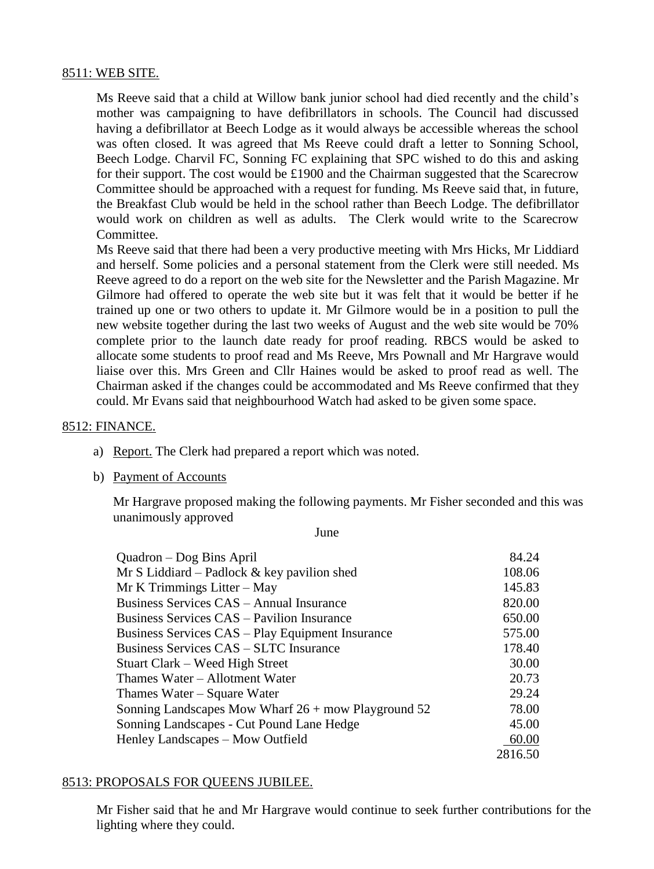# 8511: WEB SITE.

Ms Reeve said that a child at Willow bank junior school had died recently and the child's mother was campaigning to have defibrillators in schools. The Council had discussed having a defibrillator at Beech Lodge as it would always be accessible whereas the school was often closed. It was agreed that Ms Reeve could draft a letter to Sonning School, Beech Lodge. Charvil FC, Sonning FC explaining that SPC wished to do this and asking for their support. The cost would be £1900 and the Chairman suggested that the Scarecrow Committee should be approached with a request for funding. Ms Reeve said that, in future, the Breakfast Club would be held in the school rather than Beech Lodge. The defibrillator would work on children as well as adults. The Clerk would write to the Scarecrow Committee.

Ms Reeve said that there had been a very productive meeting with Mrs Hicks, Mr Liddiard and herself. Some policies and a personal statement from the Clerk were still needed. Ms Reeve agreed to do a report on the web site for the Newsletter and the Parish Magazine. Mr Gilmore had offered to operate the web site but it was felt that it would be better if he trained up one or two others to update it. Mr Gilmore would be in a position to pull the new website together during the last two weeks of August and the web site would be 70% complete prior to the launch date ready for proof reading. RBCS would be asked to allocate some students to proof read and Ms Reeve, Mrs Pownall and Mr Hargrave would liaise over this. Mrs Green and Cllr Haines would be asked to proof read as well. The Chairman asked if the changes could be accommodated and Ms Reeve confirmed that they could. Mr Evans said that neighbourhood Watch had asked to be given some space.

#### 8512: FINANCE.

- a) Report. The Clerk had prepared a report which was noted.
- b) Payment of Accounts

Mr Hargrave proposed making the following payments. Mr Fisher seconded and this was unanimously approved

June

| Quadron – Dog Bins April                              | 84.24   |
|-------------------------------------------------------|---------|
| Mr S Liddiard – Padlock $&$ key pavilion shed         | 108.06  |
| $Mr K$ Trimmings Litter – May                         | 145.83  |
| Business Services CAS – Annual Insurance              | 820.00  |
| <b>Business Services CAS – Pavilion Insurance</b>     | 650.00  |
| Business Services CAS – Play Equipment Insurance      | 575.00  |
| Business Services CAS – SLTC Insurance                | 178.40  |
| Stuart Clark – Weed High Street                       | 30.00   |
| Thames Water - Allotment Water                        | 20.73   |
| Thames Water – Square Water                           | 29.24   |
| Sonning Landscapes Mow Wharf $26 +$ mow Playground 52 | 78.00   |
| Sonning Landscapes - Cut Pound Lane Hedge             | 45.00   |
| Henley Landscapes – Mow Outfield                      | 60.00   |
|                                                       | 2816.50 |

#### 8513: PROPOSALS FOR QUEENS JUBILEE.

Mr Fisher said that he and Mr Hargrave would continue to seek further contributions for the lighting where they could.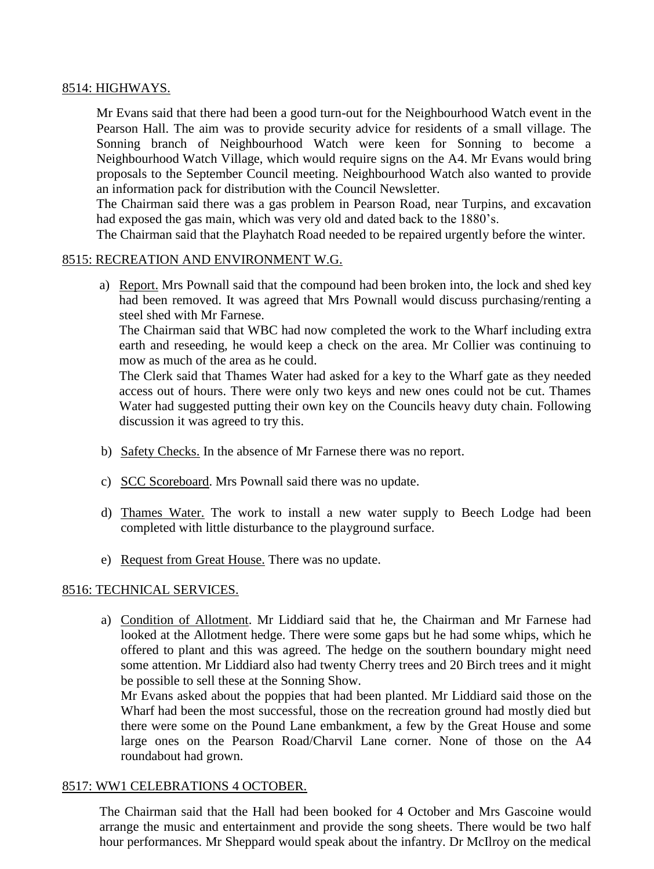# 8514: HIGHWAYS.

Mr Evans said that there had been a good turn-out for the Neighbourhood Watch event in the Pearson Hall. The aim was to provide security advice for residents of a small village. The Sonning branch of Neighbourhood Watch were keen for Sonning to become a Neighbourhood Watch Village, which would require signs on the A4. Mr Evans would bring proposals to the September Council meeting. Neighbourhood Watch also wanted to provide an information pack for distribution with the Council Newsletter.

The Chairman said there was a gas problem in Pearson Road, near Turpins, and excavation had exposed the gas main, which was very old and dated back to the 1880's.

The Chairman said that the Playhatch Road needed to be repaired urgently before the winter.

# 8515: RECREATION AND ENVIRONMENT W.G.

a) Report. Mrs Pownall said that the compound had been broken into, the lock and shed key had been removed. It was agreed that Mrs Pownall would discuss purchasing/renting a steel shed with Mr Farnese.

The Chairman said that WBC had now completed the work to the Wharf including extra earth and reseeding, he would keep a check on the area. Mr Collier was continuing to mow as much of the area as he could.

The Clerk said that Thames Water had asked for a key to the Wharf gate as they needed access out of hours. There were only two keys and new ones could not be cut. Thames Water had suggested putting their own key on the Councils heavy duty chain. Following discussion it was agreed to try this.

- b) Safety Checks. In the absence of Mr Farnese there was no report.
- c) SCC Scoreboard. Mrs Pownall said there was no update.
- d) Thames Water. The work to install a new water supply to Beech Lodge had been completed with little disturbance to the playground surface.
- e) Request from Great House. There was no update.

# 8516: TECHNICAL SERVICES.

a) Condition of Allotment. Mr Liddiard said that he, the Chairman and Mr Farnese had looked at the Allotment hedge. There were some gaps but he had some whips, which he offered to plant and this was agreed. The hedge on the southern boundary might need some attention. Mr Liddiard also had twenty Cherry trees and 20 Birch trees and it might be possible to sell these at the Sonning Show.

Mr Evans asked about the poppies that had been planted. Mr Liddiard said those on the Wharf had been the most successful, those on the recreation ground had mostly died but there were some on the Pound Lane embankment, a few by the Great House and some large ones on the Pearson Road/Charvil Lane corner. None of those on the A4 roundabout had grown.

# 8517: WW1 CELEBRATIONS 4 OCTOBER.

The Chairman said that the Hall had been booked for 4 October and Mrs Gascoine would arrange the music and entertainment and provide the song sheets. There would be two half hour performances. Mr Sheppard would speak about the infantry. Dr McIlroy on the medical